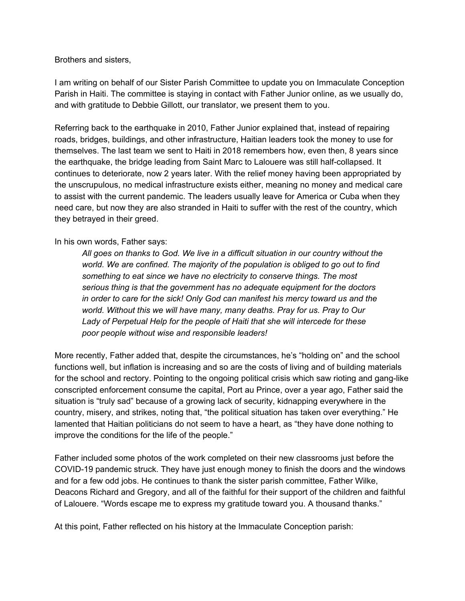## Brothers and sisters,

I am writing on behalf of our Sister Parish Committee to update you on Immaculate Conception Parish in Haiti. The committee is staying in contact with Father Junior online, as we usually do, and with gratitude to Debbie Gillott, our translator, we present them to you.

Referring back to the earthquake in 2010, Father Junior explained that, instead of repairing roads, bridges, buildings, and other infrastructure, Haitian leaders took the money to use for themselves. The last team we sent to Haiti in 2018 remembers how, even then, 8 years since the earthquake, the bridge leading from Saint Marc to Lalouere was still half-collapsed. It continues to deteriorate, now 2 years later. With the relief money having been appropriated by the unscrupulous, no medical infrastructure exists either, meaning no money and medical care to assist with the current pandemic. The leaders usually leave for America or Cuba when they need care, but now they are also stranded in Haiti to suffer with the rest of the country, which they betrayed in their greed.

## In his own words, Father says:

*All goes on thanks to God. We live in a difficult situation in our country without the world. We are confined. The majority of the population is obliged to go out to find something to eat since we have no electricity to conserve things. The most serious thing is that the government has no adequate equipment for the doctors in order to care for the sick! Only God can manifest his mercy toward us and the world. Without this we will have many, many deaths. Pray for us. Pray to Our Lady of Perpetual Help for the people of Haiti that she will intercede for these poor people without wise and responsible leaders!*

More recently, Father added that, despite the circumstances, he's "holding on" and the school functions well, but inflation is increasing and so are the costs of living and of building materials for the school and rectory. Pointing to the ongoing political crisis which saw rioting and gang-like conscripted enforcement consume the capital, Port au Prince, over a year ago, Father said the situation is "truly sad" because of a growing lack of security, kidnapping everywhere in the country, misery, and strikes, noting that, "the political situation has taken over everything." He lamented that Haitian politicians do not seem to have a heart, as "they have done nothing to improve the conditions for the life of the people."

Father included some photos of the work completed on their new classrooms just before the COVID-19 pandemic struck. They have just enough money to finish the doors and the windows and for a few odd jobs. He continues to thank the sister parish committee, Father Wilke, Deacons Richard and Gregory, and all of the faithful for their support of the children and faithful of Lalouere. "Words escape me to express my gratitude toward you. A thousand thanks."

At this point, Father reflected on his history at the Immaculate Conception parish: